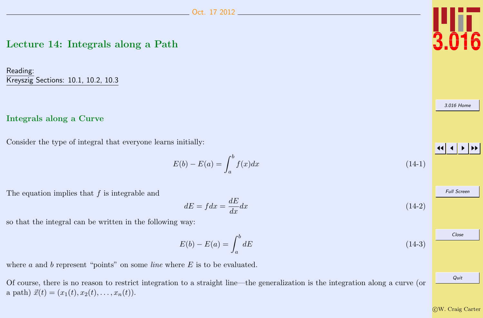# <span id="page-0-0"></span>Lecture 14: Integrals along a Path

Reading: Kreyszig Sections: 10.1, 10.2, 10.3

#### Integrals along a Curve

Consider the type of integral that everyone learns initially:

 $E(b) - E(a) = \int^b$ a  $f(x)dx$  (14-1)

The equation implies that  $f$  is integrable and

so that the integral can be written in the following way:

 $E(b) - E(a) = \int^b$ 

where  $a$  and  $b$  represent "points" on some *line* where  $E$  is to be evaluated.

Of course, there is no reason to restrict integration to a straight line—the generalization is the integration along a curve (or a path)  $\vec{x}(t) = (x_1(t), x_2(t), \ldots, x_n(t)).$ 

a

 $dE = f dx = \frac{dE}{dt}$ 



[3.016 Home](http://pruffle.mit.edu/3.016-2012/)

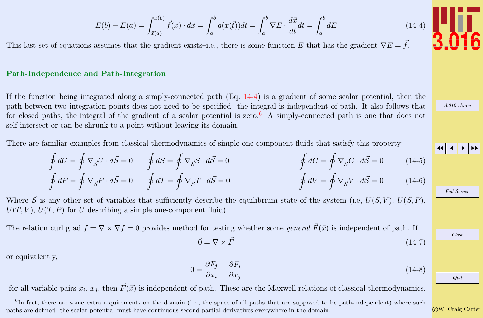$$
E(b) - E(a) = \int_{\vec{x}(a)}^{\vec{x}(b)} \vec{f}(\vec{x}) \cdot d\vec{x} = \int_{a}^{b} g(x(\vec{t})) dt = \int_{a}^{b} \nabla E \cdot \frac{d\vec{x}}{dt} dt = \int_{a}^{b} dE
$$

<span id="page-1-0"></span>This last set of equations assumes that the gradient exists–i.e., there is some function E that has the gradient  $\nabla E = \vec{f}$ .

#### Path-Independence and Path-Integration

If the function being integrated along a simply-connected path (Eq. 14-4) is a gradient of some scalar potential, then the path between two integration points does not need to be specified: the integral is independent of path. It also follows that for closed paths, the integral of the gradient of a scalar potential is zero.<sup>6</sup> A simply-connected path is one that does not self-intersect or can be shrunk to a point without leaving its domain.

There are familiar examples from classical thermodynamics of simple one-component fluids that satisfy this property:

$$
\oint dU = \oint \nabla_{\vec{S}} U \cdot d\vec{S} = 0 \qquad \oint dS = \oint \nabla_{\vec{S}} S \cdot d\vec{S} = 0 \qquad \oint dG = \oint \nabla_{\vec{S}} G \cdot d\vec{S} = 0 \qquad (14-5)
$$

$$
\oint dP = \oint \nabla_{\vec{S}} P \cdot d\vec{S} = 0 \qquad \oint dT = \oint \nabla_{\vec{S}} T \cdot d\vec{S} = 0 \qquad \qquad \oint dV = \oint \nabla_{\vec{S}} V \cdot d\vec{S} = 0 \qquad (14-6)
$$

Where  $\vec{S}$  is any other set of variables that sufficiently describe the equilibrium state of the system (i.e,  $U(S, V)$ ,  $U(S, P)$ ,  $U(T, V), U(T, P)$  for U describing a simple one-component fluid).

The relation curl grad  $f = \nabla \times \nabla f = 0$  provides method for testing whether some *general*  $\vec{F}(\vec{x})$  is independent of path. If

$$
\vec{0} = \nabla \times \vec{F} \tag{14-7}
$$

or equivalently,

$$
0 = \frac{\partial F_j}{\partial x_i} - \frac{\partial F_i}{\partial x_j} \tag{14-8}
$$

for all variable pairs  $x_i$ ,  $x_j$ , then  $\vec{F}(\vec{x})$  is independent of path. These are the Maxwell relations of classical thermodynamics.

c W. Craig Carter



[3.016 Home](http://pruffle.mit.edu/3.016-2012/)

JJ J I II

Full Screen

Close

<sup>&</sup>lt;sup>6</sup>In fact, there are some extra requirements on the domain (i.e., the space of all paths that are supposed to be path-independent) where such paths are defined: the scalar potential must have continuous second partial derivatives everywhere in the domain.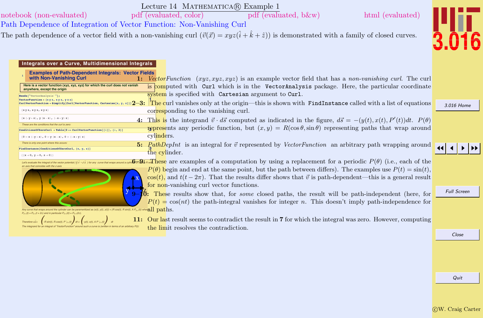<span id="page-2-0"></span>

| notebook (non-evaluated)<br>Path Dependence of Integration of Vector Function: Non-Vanishing Curl                                                                                                                                                          | Lecture 14 MATHEMATICA(R) Example 1<br>html (evaluated)<br>pdf (evaluated, color)<br>$pdf$ (evaluated, b $\&w$ )                                                                                                                                                                                                                                                                                                                                                                              |                    |
|------------------------------------------------------------------------------------------------------------------------------------------------------------------------------------------------------------------------------------------------------------|-----------------------------------------------------------------------------------------------------------------------------------------------------------------------------------------------------------------------------------------------------------------------------------------------------------------------------------------------------------------------------------------------------------------------------------------------------------------------------------------------|--------------------|
|                                                                                                                                                                                                                                                            | The path dependence of a vector field with a non-vanishing curl $(\vec{v}(\vec{x}) = xyz(\hat{i} + \hat{k} + \hat{z}))$ is demonstrated with a family of closed curves.                                                                                                                                                                                                                                                                                                                       |                    |
| Integrals over a Curve, Multidimensional Integrals<br><b>Examples of Path-Dependent Integrals: Vector Fields</b><br>with Non-Vanishing Curl<br>Here is a vector function (xyz, xyz, xyz) for which the curl does not vanish<br>anywhere, except the origin | 1: Vector Function $(xyz, xyz, xyz)$ is an example vector field that has a non-vanishing curl. The curl<br>is computed with Curl which is in the VectorAnalysis package. Here, the particular coordinate                                                                                                                                                                                                                                                                                      |                    |
| Needs["VectorAnalysis'"];<br>VectorFunction = $\{x y z, x y z, y x z\}$                                                                                                                                                                                    | system is specified with Cartesian argument to Curl.<br><b>CONTRACT AND TO A SUBJECT AND THE CONTRACT ON CALCULATE AND SUBJECT AND SUBJECT AND SUBJECT AND SUBJECT AND SUBJECT AND SUBJECT AND SUBJECT AND SUBJECT AND SUBJECT AND SUBJECT AND SUBJECT AND SUBJECT AND SUBJECT AND SUBJE</b>                                                                                                                                                                                                  |                    |
| $\{xy z, xy z, xy z\}$                                                                                                                                                                                                                                     | corresponding to the vanishing curl.                                                                                                                                                                                                                                                                                                                                                                                                                                                          | 3.016 Home         |
| $\{x (-y + z), y (x - z), (-x + y) z\}$<br>These are the conditions that the curl is zero:<br>ConditionsOfZeroCurl = Table[0 == CurlVectorFunction[[i]], {i, 3}]<br>$\{0 = x (-y + z), 0 = y (x - z), 0 = (-x + y) z\}$                                    | 4. This is the integrand $\vec{v} \cdot d\vec{s}$ computed as indicated in the figure, $d\vec{s} = -(y(t), x(t), P'(t))dt$ . $P(\theta)$<br><b>represents</b> any periodic function, but $(x, y) = R(\cos \theta, \sin \theta)$ representing paths that wrap around<br>cylinders.                                                                                                                                                                                                             |                    |
| There is only one point where this occurs<br>FindInstance [ConditionsOfZeroCurl, {x, y, z}]<br>${ (x \to 0, y \to 0, z \to 0) }$                                                                                                                           | <b>5.</b> PathDepInt is an integral for $\vec{v}$ represented by VectorFunction an arbitrary path wrapping around<br>the cylinder.                                                                                                                                                                                                                                                                                                                                                            |                    |
| an axis that coincides with the z-axis                                                                                                                                                                                                                     | <b>Let's evaluate the integral of the vector potential ( <math>\xi \bar{y} \cdot d\bar{s}</math>) for any care that waps around a cyler and a cyler and <math>\mathbf{S}_{\overline{a}}</math>.</b><br>$P(\theta)$ begin and end at the same point, but the path between differs). The examples use $P(t) = \sin(t)$ ,<br>$\cos(t)$ , and $t(t - 2\pi)$ . That the results differ shows that $\vec{v}$ is path-dependent—this is a general result<br>for non-vanishing curl vector functions. |                    |
| $\Omega$                                                                                                                                                                                                                                                   | These results show that, for <i>some</i> closed paths, the result will be path-independent (here, for                                                                                                                                                                                                                                                                                                                                                                                         | <b>Full Screen</b> |
| Any curve that wraps around the cylinder can be parameritized as (x(t), y(t), z(t)) = (R cos(t), R sin(t), A $P_{2x}(t)$ ) wher $all$ $\bf{p}aths.$<br>$P_{2\pi}(t) = P_{2\pi}(t + 2\pi)$ and in particular $P_{2\pi}(0) = P_{2\pi}(2\pi)$                 | $P(t) = \cos(nt)$ the path-integral vanishes for integer n. This doesn't imply path-independence for                                                                                                                                                                                                                                                                                                                                                                                          |                    |
|                                                                                                                                                                                                                                                            | 11: Our last result seems to contradict the result in 7 for which the integral was zero. However, computing<br>the limit resolves the contradiction.                                                                                                                                                                                                                                                                                                                                          |                    |
|                                                                                                                                                                                                                                                            |                                                                                                                                                                                                                                                                                                                                                                                                                                                                                               | Close              |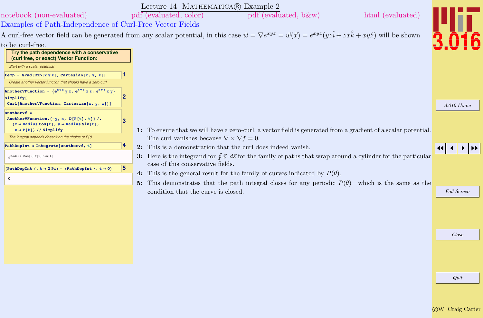<span id="page-3-0"></span>

|                                                                                                                                                                      |   | Lecture 14 MATHEMATICA(R) Example 2                                                                                                                                                         |                    |
|----------------------------------------------------------------------------------------------------------------------------------------------------------------------|---|---------------------------------------------------------------------------------------------------------------------------------------------------------------------------------------------|--------------------|
| notebook (non-evaluated)                                                                                                                                             |   | pdf (evaluated, color)<br>$pdf$ (evaluated, b $\&w$ )<br>html (evaluated)                                                                                                                   |                    |
| Examples of Path-Independence of Curl-Free Vector Fields                                                                                                             |   |                                                                                                                                                                                             |                    |
|                                                                                                                                                                      |   | A curl-free vector field can be generated from any scalar potential, in this case $\vec{w} = \nabla e^{xyz} = \vec{w}(\vec{x}) = e^{xyz}(yz\hat{i} + zx\hat{k} + xyz\hat{j})$ will be shown |                    |
| to be curl-free.                                                                                                                                                     |   |                                                                                                                                                                                             |                    |
| Try the path dependence with a conservative<br>(curl free, or exact) Vector Function:                                                                                |   |                                                                                                                                                                                             |                    |
| Start with a scalar potential                                                                                                                                        |   |                                                                                                                                                                                             |                    |
| temp = $Grad[Exp[x y z]$ , Cartesian $[x, y, z]$ ]<br>Create another vector function that should have a zero curl                                                    |   |                                                                                                                                                                                             |                    |
| Another VF unction = $\{e^{xy}$ y z, $e^{xy}$ x z, $e^{xy}$ x y }<br>Simplify[                                                                                       |   |                                                                                                                                                                                             |                    |
| Curl[AnotherVFunction, Cartesian[x, y, z]]]                                                                                                                          |   |                                                                                                                                                                                             | 3.016 Home         |
| $anothervf =$<br>AnotherVFunction. $\{-y, x, D[P[t], t]\}$ /.<br>$\{x \rightarrow$ Radius Cos[t], $y \rightarrow$ Radius Sin[t],<br>$z \rightarrow P[t]$ // Simplify | 3 | 1: To ensure that we will have a zero-curl, a vector field is generated from a gradient of a scalar potential.                                                                              |                    |
| The integral depends doesn't on the choice of P(t)                                                                                                                   |   | The curl vanishes because $\nabla \times \nabla f = 0$ .                                                                                                                                    |                    |
| PathDepInt = Integrate[anothervf, $t$ ]                                                                                                                              |   | 2: This is a demonstration that the curl does indeed vanish.                                                                                                                                |                    |
| Radius <sup>2</sup> Cos[t] P[t] Sin[t]                                                                                                                               |   | 3: Here is the integrand for $\oint \vec{v} \cdot d\vec{s}$ for the family of paths that wrap around a cylinder for the particular                                                          |                    |
| (PathDepInt /. $t \rightarrow 2$ Pi) - (PathDepInt /. $t \rightarrow 0$ )                                                                                            | 5 | case of this conservative fields.<br>4: This is the general result for the family of curves indicated by $P(\theta)$ .                                                                      |                    |
| $\mathbf 0$                                                                                                                                                          |   | 5: This demonstrates that the path integral closes for any periodic $P(\theta)$ —which is the same as the                                                                                   |                    |
|                                                                                                                                                                      |   | condition that the curve is closed.                                                                                                                                                         | <b>Full Screen</b> |
|                                                                                                                                                                      |   |                                                                                                                                                                                             |                    |
|                                                                                                                                                                      |   |                                                                                                                                                                                             |                    |
|                                                                                                                                                                      |   |                                                                                                                                                                                             |                    |
|                                                                                                                                                                      |   |                                                                                                                                                                                             | Close              |
|                                                                                                                                                                      |   |                                                                                                                                                                                             |                    |
|                                                                                                                                                                      |   |                                                                                                                                                                                             |                    |
|                                                                                                                                                                      |   |                                                                                                                                                                                             |                    |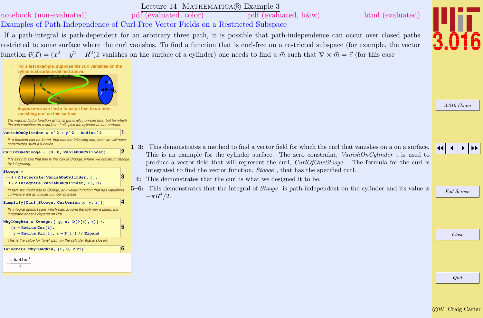### Lecture 14 MATHEMATICA(R) Example 3

# <span id="page-4-0"></span>[notebook \(non-evaluated\)](http://pruffle.mit.edu/3.016-2012/Notebooks/L14/Lecture-14.nb) [pdf \(evaluated, color\)](http://pruffle.mit.edu/3.016-2012/pdf/L14/Lecture-14-3-COL.pdf) [pdf \(evaluated, b&w\)](http://pruffle.mit.edu/3.016-2012/pdf/L14/Lecture-14-3-BW.pdf) [html \(evaluated\)](http://pruffle.mit.edu/3.016-2012/html/Lecture-14/HTMLLinks/index_3.html)

# Examples of Path-Independence of Curl-Free Vector Fields on a Restricted Subspace

If a path-integral is path-dependent for an arbitrary three path, it is possible that path-independence can occur over closed paths restricted to some surface where the curl vanishes. To find a function that is curl-free on a restricted subspace (for example, the vector function  $\vec{v}(\vec{x}) = (x^2 + y^2 - R^2)\hat{z}$  vanishes on the surface of a cylinder) one needs to find a  $\vec{m}$  such that  $\nabla \times \vec{m} = \vec{v}$  (for this case



- 1–3: This demonstrates a method to find a vector field for which the curl that vanishes on a on a surface. This is an example for the cylinder surface. The zero constraint,  $VanishOnCylinder$ , is used to produce a vector field that will represent the curl,  $CurlOfOneStooqe$ . The formula for the curl is integrated to find the vector function, Stooge , that has the specified curl.
- 4: This demonstrates that the curl is what we designed it to be.
- $5-6$ : This demonstrates that the integral of *Stooge* is path-independent on the cylinder and its value is  $-\pi R^4/2$ .



[3.016 Home](http://pruffle.mit.edu/3.016-2012/)



Full Screen

Close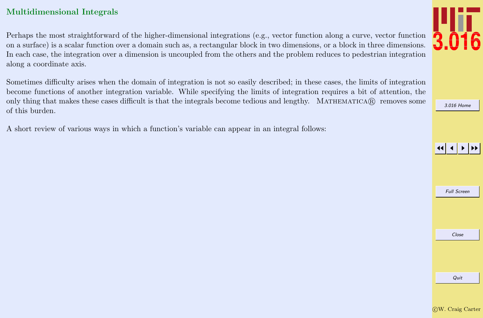# <span id="page-5-0"></span>Multidimensional Integrals

Perhaps the most straightforward of the higher-dimensional integrations (e.g., vector function along a curve, vector function on a surface) is a scalar function over a domain such as, a rectangular block in two dimensions, or a block in three dimensions. In each case, the integration over a dimension is uncoupled from the others and the problem reduces to pedestrian integration along a coordinate axis.

Sometimes difficulty arises when the domain of integration is not so easily described; in these cases, the limits of integration become functions of another integration variable. While specifying the limits of integration requires a bit of attention, the only thing that makes these cases difficult is that the integrals become tedious and lengthy. MATHEMATICA $\mathbb{R}$  removes some of this burden.

A short review of various ways in which a function's variable can appear in an integral follows:

[3.016 Home](http://pruffle.mit.edu/3.016-2012/)

JJ J I II

Full Screen

Close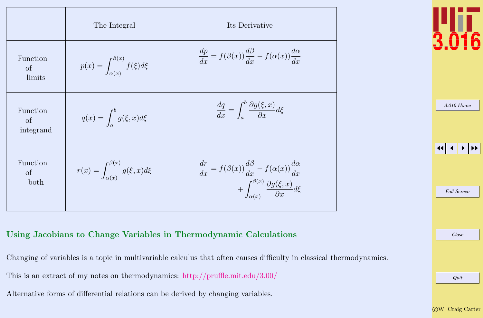<span id="page-6-0"></span>

|                             | The Integral                                        | Its Derivative                                                                                                                                                               |
|-----------------------------|-----------------------------------------------------|------------------------------------------------------------------------------------------------------------------------------------------------------------------------------|
| Function<br>of<br>limits    | $p(x) = \int_{\alpha(x)}^{\beta(x)} f(\xi) d\xi$    | $\frac{dp}{dx} = f(\beta(x))\frac{d\beta}{dx} - f(\alpha(x))\frac{d\alpha}{dx}$                                                                                              |
| Function<br>of<br>integrand | $q(x) = \int_{a}^{b} g(\xi, x) d\xi$                | $\frac{dq}{dx} = \int^b \frac{\partial g(\xi, x)}{\partial x} d\xi$                                                                                                          |
| Function<br>of<br>both      | $r(x) = \int_{\alpha(x)}^{\beta(x)} g(\xi, x) d\xi$ | $\begin{split} \frac{dr}{dx}=f(\beta(x))\frac{d\beta}{dx}-f(\alpha(x))\frac{d\alpha}{dx}\\ +\int_{\alpha(x)}^{\beta(x)}\frac{\partial g(\xi,x)}{\partial x}d\xi \end{split}$ |



[3.016 Home](http://pruffle.mit.edu/3.016-2012/)

JJ J I II

Full Screen

Close

# Using Jacobians to Change Variables in Thermodynamic Calculations

Changing of variables is a topic in multivariable calculus that often causes difficulty in classical thermodynamics.

This is an extract of my notes on thermodynamics: <http://pruffle.mit.edu/3.00/>

Alternative forms of differential relations can be derived by changing variables.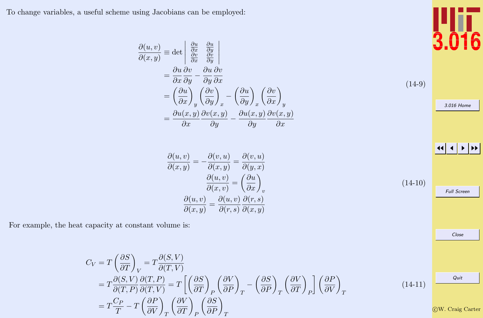<span id="page-7-0"></span>To change variables, a useful scheme using Jacobians can be employed:

$$
\frac{\partial(u,v)}{\partial(x,y)} \equiv \det \begin{vmatrix} \frac{\partial u}{\partial x} & \frac{\partial u}{\partial y} \\ \frac{\partial v}{\partial x} & \frac{\partial v}{\partial y} \end{vmatrix}
$$
  
=  $\frac{\partial u}{\partial x} \frac{\partial v}{\partial y} - \frac{\partial u}{\partial y} \frac{\partial v}{\partial x}$   
=  $\left(\frac{\partial u}{\partial x}\right)_y \left(\frac{\partial v}{\partial y}\right)_x - \left(\frac{\partial u}{\partial y}\right)_x \left(\frac{\partial v}{\partial x}\right)_y$   
=  $\frac{\partial u(x,y)}{\partial x} \frac{\partial v(x,y)}{\partial y} - \frac{\partial u(x,y)}{\partial y} \frac{\partial v(x,y)}{\partial x}$  (14-9)

$$
\frac{\partial(u,v)}{\partial(x,y)} = -\frac{\partial(v,u)}{\partial(x,y)} = \frac{\partial(v,u)}{\partial(y,x)}
$$

$$
\frac{\partial(u,v)}{\partial(x,v)} = \left(\frac{\partial u}{\partial x}\right)_v
$$

$$
\frac{\partial(u,v)}{\partial(x,y)} = \frac{\partial(u,v)}{\partial(r,s)} \frac{\partial(r,s)}{\partial(x,y)}
$$
(14-10)

For example, the heat capacity at constant volume is:

$$
C_V = T \left(\frac{\partial S}{\partial T}\right)_V = T \frac{\partial(S, V)}{\partial(T, V)}
$$
  
=  $T \frac{\partial(S, V)}{\partial(T, P)} \frac{\partial(T, P)}{\partial(T, V)} = T \left[ \left(\frac{\partial S}{\partial T}\right)_P \left(\frac{\partial V}{\partial P}\right)_T - \left(\frac{\partial S}{\partial P}\right)_T \left(\frac{\partial V}{\partial T}\right)_P \right] \left(\frac{\partial P}{\partial V}\right)_T$   
=  $T \frac{C_P}{T} - T \left(\frac{\partial P}{\partial V}\right)_T \left(\frac{\partial V}{\partial T}\right)_P \left(\frac{\partial S}{\partial P}\right)_T$  (14-11)



[3.016 Home](http://pruffle.mit.edu/3.016-2012/)

**J J J J J J J J** 

Full Screen

Close

c W. Craig Carter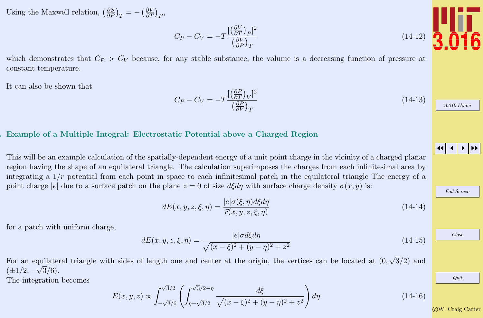Using the Maxwell relation,  $\left(\frac{\partial S}{\partial P}\right)_T = -\left(\frac{\partial V}{\partial T}\right)_P$ ,

#### $C_P - C_V = -T$  $[(\frac{\partial V}{\partial T})_P]^2$  $\left(\frac{\partial V}{\partial P}\right)_T$ (14-12)

which demonstrates that  $C_P > C_V$  because, for any stable substance, the volume is a decreasing function of pressure at constant temperature.

It can also be shown that

#### $C_P - C_V = -T$  $[(\frac{\partial P}{\partial T})_V]^2$  $\left(\frac{\partial P}{\partial V}\right)_T$  $(14-13)$

#### Example of a Multiple Integral: Electrostatic Potential above a Charged Region

This will be an example calculation of the spatially-dependent energy of a unit point charge in the vicinity of a charged planar region having the shape of an equilateral triangle. The calculation superimposes the charges from each infinitesimal area by integrating a  $1/r$  potential from each point in space to each infinitesimal patch in the equilateral triangle The energy of a point charge |e| due to a surface patch on the plane  $z = 0$  of size  $d\xi d\eta$  with surface charge density  $\sigma(x, y)$  is:

$$
dE(x, y, z, \xi, \eta) = \frac{|e|\sigma(\xi, \eta)d\xi d\eta}{\vec{r}(x, y, z, \xi, \eta)}
$$
\n(14-14)

for a patch with uniform charge,

$$
dE(x, y, z, \xi, \eta) = \frac{|e|\sigma d\xi d\eta}{\sqrt{(x-\xi)^2 + (y-\eta)^2 + z^2}}
$$
(14-15)

For an equilateral triangle with sides of length one and center at the origin, the vertices can be located at (0, quilateral triangle with sides of length one and center at the origin, the vertices can be located at  $(0, \sqrt{3}/2)$  and  $(\pm 1/2, -\sqrt{3}/6).$ 

The integration becomes

$$
E(x, y, z) \propto \int_{-\sqrt{3}/6}^{\sqrt{3}/2} \left( \int_{\eta - \sqrt{3}/2}^{\sqrt{3}/2 - \eta} \frac{d\xi}{\sqrt{(x - \xi)^2 + (y - \eta)^2 + z^2}} \right) d\eta
$$
 (14-16)

 $\frac{1}{16}$ 

[3.016 Home](http://pruffle.mit.edu/3.016-2012/)

JJ J I II

Full Screen

Close

Quit

c W. Craig Carter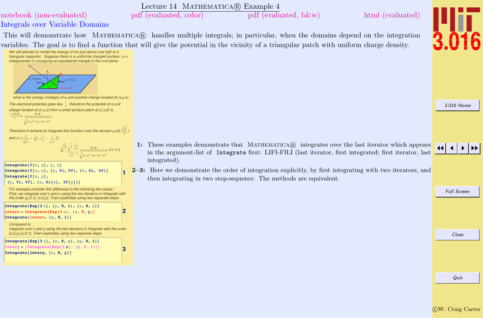<span id="page-9-0"></span>

c W. Craig Carter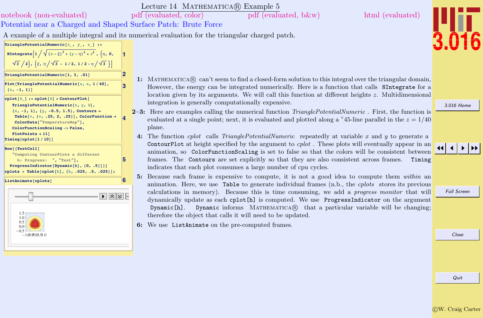Lecture 14 MATHEMATICA® Example 5

<span id="page-10-0"></span>[notebook \(non-evaluated\)](http://pruffle.mit.edu/3.016-2012/Notebooks/L14/Lecture-14.nb) [pdf \(evaluated, color\)](http://pruffle.mit.edu/3.016-2012/pdf/L14/Lecture-14-5-COL.pdf) [pdf \(evaluated, b&w\)](http://pruffle.mit.edu/3.016-2012/pdf/L14/Lecture-14-5-BW.pdf) [html \(evaluated\)](http://pruffle.mit.edu/3.016-2012/html/Lecture-14/HTMLLinks/index_5.html)

Potential near a Charged and Shaped Surface Patch: Brute Force

A example of a multiple integral and its numerical evaluation for the triangular charged patch.

| Triangle[2]{\n <b>min</b> g[ $\sqrt{x}$ , $\frac{1}{x}$ , $\frac{1}{x}$ , $\frac{1}{x}$ , $\frac{1}{x}$ , $\frac{1}{x}$ , $\frac{1}{x}$ , $\frac{1}{x}$ , $\frac{1}{x}$ , $\frac{1}{x}$ , $\frac{1}{x}$ , $\frac{1}{x}$ , $\frac{1}{x}$ , $\frac{1}{x}$ , $\frac{1}{x}$ , $\frac{1}{x}$ , $\frac{1}{x}$ , $\frac{1}{x}$ , $\frac{1}{x}$ , $\frac{1}{x}$ , $\frac{1}{x}$ , $\frac{1}{x}$ , $\frac{1}{x}$ , $\frac{1}{x}$ , $\frac{1}{x}$ , $\frac{1}{x}$ , $\frac{1}{x}$ , $\frac{1}{x}$ , $\frac{1}{x}$ , $\frac{1}{x}$ , $\frac{1}{x}$ , $\frac{1}{x}$ , $\frac{1}{x}$ , $\frac{1}{x}$ , $\frac{1}{x}$ , $\frac{1}{x}$ , $\frac{1}{x}$ , $\frac{1}{x}$ , $\frac{1}{x}$ , $\frac{1}{x}$ , $\frac{1}{x}$ , $\frac{1}{x}$ , $\frac{1}{x}$ , $\frac{1}{x}$ , $\frac{1}{x}$ , $\frac{1}{x}$ , $\frac{1}{x}$ , $\frac{1}{x}$ , $\frac{1}{x}$ , $\frac{1}{x}$ , $\frac{1}{x}$ , $\frac{1}{x}$ , $\frac{1}{x}$ , $\frac{1}{x}$ , $\frac{1}{x}$ , $\frac{1}{x}$ , $\frac{1}{x}$ , $\frac{1}{x}$ , $\frac{1}{x}$ , $\frac{1}{x}$ , $\frac{1}{x}$ , $\frac{1}{x}$ , $\frac{1}{x}$ , $\frac{1}{x}$ , $\frac{1}{x}$ , $\frac{1}{x}$ , $\frac{1}{x}$ , $\frac{1$ |
|-----------------------------------------------------------------------------------------------------------------------------------------------------------------------------------------------------------------------------------------------------------------------------------------------------------------------------------------------------------------------------------------------------------------------------------------------------------------------------------------------------------------------------------------------------------------------------------------------------------------------------------------------------------------------------------------------------------------------------------------------------------------------------------------------------------------------------------------------------------------------------------------------------------------------------------------------------------------------------------------------------------------------------------------------------------------------------------------------------------------------------------------------------|
|-----------------------------------------------------------------------------------------------------------------------------------------------------------------------------------------------------------------------------------------------------------------------------------------------------------------------------------------------------------------------------------------------------------------------------------------------------------------------------------------------------------------------------------------------------------------------------------------------------------------------------------------------------------------------------------------------------------------------------------------------------------------------------------------------------------------------------------------------------------------------------------------------------------------------------------------------------------------------------------------------------------------------------------------------------------------------------------------------------------------------------------------------------|

[3.016 Home](http://pruffle.mit.edu/3.016-2012/)

Ī6

 $\blacktriangleright\blacktriangleright$ 

Full Screen

the argument be changing;

Close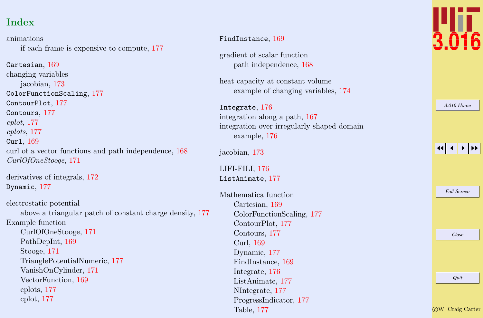# Index

animations if each frame is expensive to compute, [177](#page-10-0)

Cartesian, [169](#page-2-0) changing variables jacobian, [173](#page-6-0) ColorFunctionScaling, [177](#page-10-0) ContourPlot, [177](#page-10-0) Contours, [177](#page-10-0) cplot, [177](#page-10-0) cplots, [177](#page-10-0) Curl, [169](#page-2-0) curl of a vector functions and path independence, [168](#page-1-0) CurlOfOneStooge, [171](#page-4-0)

derivatives of integrals, [172](#page-5-0) Dynamic, [177](#page-10-0)

electrostatic potential above a triangular patch of constant charge density, [177](#page-10-0) Example function CurlOfOneStooge, [171](#page-4-0) PathDepInt, [169](#page-2-0) Stooge, [171](#page-4-0) TrianglePotentialNumeric, [177](#page-10-0) VanishOnCylinder, [171](#page-4-0) VectorFunction, [169](#page-2-0) cplots, [177](#page-10-0) cplot, [177](#page-10-0)

#### FindInstance, [169](#page-2-0)

gradient of scalar function path independence, [168](#page-1-0)

heat capacity at constant volume example of changing variables, [174](#page-7-0)

Integrate, [176](#page-9-0) integration along a path, [167](#page-0-0) integration over irregularly shaped domain example, [176](#page-9-0)

jacobian, [173](#page-6-0)

LIFI-FILI, [176](#page-9-0) ListAnimate, [177](#page-10-0)

Mathematica function Cartesian, [169](#page-2-0) ColorFunctionScaling, [177](#page-10-0) ContourPlot, [177](#page-10-0) Contours, [177](#page-10-0) Curl, [169](#page-2-0) Dynamic, [177](#page-10-0) FindInstance, [169](#page-2-0) Integrate, [176](#page-9-0) ListAnimate, [177](#page-10-0) NIntegrate, [177](#page-10-0) ProgressIndicator, [177](#page-10-0) Table, [177](#page-10-0)



| 3.016 Home |
|------------|
|------------|

# JJ J I II

Full Screen

Close